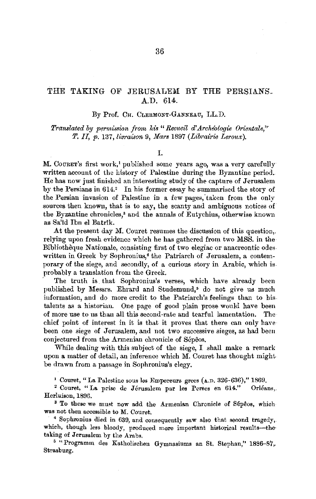# THE TAKING OF JERUSALEM BY THE PERSIANS. A.D. 614.

By Prof. CH. CLERMONT-GANNEAU, LL.D.

*Translated by permission from his* "Recueil d'Archéologie Orientale." *T*, *II, p.* 137, *livraison* 9, *Mars* 1897 *(Librairie Leroux)*.

I.

M. COURET's first work,<sup>1</sup> published some years ago, was a very carefully written aecount of the history of Palestine during the Byzantine period. He has now just finished an interesting study of the capture of Jerusalem by the Persians in 614.<sup>2</sup> In his former essay he summarised the story of the Persian invasion of Palestine in a few pages, taken from the only sources then known, that is to say, the scanty and ambiguous notices of the Byzantine chronicles; and the annals of Eutychius, otherwise known as Sa'id lbn el Batr1k.

At the present day M. Couret resumes the discussion of this question,. relying upon fresh evidence which he has gathered from two MSS. in the Bibliotheque N ationale, consisting first of two elegiac or anacreontic odes. written in Greek by Sophronius,<sup>4</sup> the Patriarch of Jerusalem, a contemporary of the siege, and secondly, of a curious story in Arabic, which is probably a translation from the Greek.

The truth is that Sophronius's verses, which have already been published by Messrs. Ehrard and Studemund,• do not give us much information, and do more credit to the Patriarch's feelings than to his. talents as a historian. One page of good plain prose would have been of more use to us than all this second-rate and tearful lamentation. The chief point of interest in it is that it proves that there can only have been one siege of Jerusalem, and not two successive sieges, as had been conjectured from the Armenian chronicle of Sepeos.

While dealing with this subject of the siege, I shall make a remark upon a matter of detail, an inference which M. Couret has thought mightbe drawn from a passage in Sophronius's elegy.

1 Couret, "La Palestine sous Jes Empereurs grecs (A.D. 326-636)," 1869.

<sup>2</sup> Couret, "La prise de Jérusalem par les Perses en 614." Orléans,. Herluison, 1896.

<sup>3</sup> To these we must now add the Armenian Chronicle of Sépeos, which was not then accessible to M. Couret.

<sup>4</sup>Sophronius died in 639, and consequently saw also that second tragedy, which, though less bloody, produced more important historical results--thetaking of Jerusalem by the Arabs.

<sup>5</sup> "Programm des Katholischen Gymnasiums an St. Stephan," 1886-87,-Strasburg.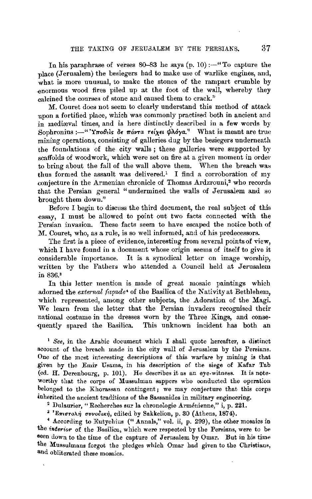In his paraphrase of verses  $80-83$  he says (p. 10) : $-$ "To capture the place (.Jerusalem) the besiegers had to make use of warlike engines, and, what is more unusual, to make the stones of the rampart crumble by -enormous wood fires piled up at the foot of the wall, whereby they calcined the courses of stone and caused them to crack."

M. Couret does not seem to clearly understand this method of attack upon a fortified place, which was commonly practised both in ancient and in mediaval times, and is here distinctly described in a few words by Sophronius :-" 'Ynobis de nárra relyet *phóya.*" What is meant are true mining operations, consisting of galleries dug by the besiegers underneath the foumlations of the city walls ; these galleries were supported by scaffolds of woodwork, which were set on fire at a given moment in order to bring about the fall of the wall above them. When the breach was thus formed the assault was delivered.<sup>1</sup> I find a corroboration of my conjecture in the Armenian chronicle of Thomas Ardzrouni,2 who records that the Persian general "undermined the walls of Jerusalem and so brought them down."

Before I begin to discuss the third document, the real subject of this essay, I must be allowed to point out two facts connected with the Persian invasion. These facts seem to have escaped the notice both of M. Couret, who, as a rule, is so well informed, and of his predecessors.

The first is a piece of evidence, interesting from several points of view, which I have found in a document whose origin seems of itself to give it considerable importance. It is a synodical letter on image worship, written by the Fathers who attended a Council held at Jerusalem in 836.'

In this letter mention is made of great mosaic paintings which adorned the *external façade*<sup>4</sup> of the Basilica of the Nativity at Bethlehem, which represented, among other subjects, the Adoration of the Magi. We learn from the letter that the Persian invaders recognised their national costume in the dresses worn by the Three Kings, and conse quently spared the Basilica. This unknown incident has both an

<sup>1</sup>*See,* in the Arabic document which I shall quote hereafter, a distinct account of the breach made in the city wall of Jerusalem by the Persians. One of the most interesting descriptions of this warfare by mining is that \_given by the Emir Usama, in his description of the siege of Kafar Tab (ed. H. Derenhourg, p. 101). He describes it as an eye-witness. It is note· worthy that the corps of Mussulman sappers who oonducted the operntion belonged to the Khorassan contingent; we may conjecture that this corps inherited the ancient traditions of the Sassanides in military engineering.

<sup>2</sup> Dulaurier, "Recherches sur la chronologie Arménienne," i, p. 221.

 $i$  'Επιστολή συνοδική, edited by Sakkelion, p. 30 (Athens, 1874).

<sup>4</sup> According to Eutychius (" Annals," vol. ii, p. 299), the other mosaics in the *interior* of the Basilica, which were respected by the Persians, were to be seen down to the time of the capture of Jerusalem by Omar. But in his time the Mussulmans forgot the pledges which Omar had given to the Christians, and obliterated these mosaics.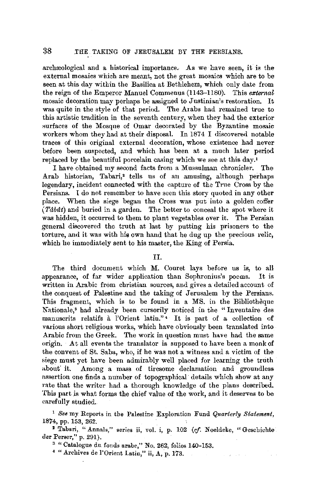## 38 .THE TAKING OF JERUSALEM BY THE PERSIANS.

archæological and a historical importance. As we have seen, it is the external mosaics which are meant, not the great mosaics which are to be seen at this day within the Basilica at Bethlehem, which only date from the reign of the Emperor Manuel Commenus (1143-1180). This *external*  mosaic decoration may perhaps be assigned to Justinian's restoration. It was quite in the style of that period. The Arabs had remained true to this artistic tradition in the seventh century, when they had the exterior surfaces of the Mosque of Omar decorated by the Byzantine mosaic workers whom they had at their disposal. In 1874 I discovered notable traces of this original external decoration, whose existence had never before been suspected, and which has been at a much later period replaced by the beautiful porcelain casing which we see at this day.1

I have obtained my second facts from a Mussulman chronicler. The Arab historian, Tabari,• tells us of an amusing, although perhaps legendary, incident connected with the capture of the True Cross by the Persians. I do not remember to have seen this story quoted in any other place. When the siege began the Cross was put into a golden coffer ( *Tabdt)* and buried in a garden. The better to conceal the spot where it was hidden, it occurred to them to plant vegetables over it. The Persian general discovered the truth at last by putting his prisoners to the torture, and it was with his own hand that he dug up the precious relic, which he immediately sent to his master, the King of Persia.

### II.

The third document which M. Couret lays before us is, to all appearance, of far wider application than Sophronius's poems. It is written in Arabic from christian sources, and gives a detailed account of the conquest of Palestine and the taking of Jerusalem by the Persians. This fragment, which is to be found in a MS. in the Bibliotheque Nationale,<sup>3</sup> had already been cursorily noticed in the "Inventaire des manuscrits relatifs à l'Orient latin." • It is part of a collection of various short religious works, which have obviously been translated into Arabic from the Greek. The work in question must have had the same origin. At all events the translator is supposed to have been a monk of the convent of St. Saba, who, if he was not a witness and a victim of the siege must yet have been admirably well placed for learning the truth about it. Among a mass of tiresome declamation and groundless assertion one finds a number of topographical details which show at any rate that the writer had a thorough knowledge of the plans described. This part is what forms the chief vaiue of the work, and it deserves to be carefully studied.

<sup>1</sup>*See* my Reports in the Palestine Exploration Fund *Quarterly Statement,*  1874, pp. 153, 262.

<sup>2</sup>Tabari, "Annals," series ii, vol. i, p. 102 *(ef.* Noeldeke, "Geschichte der Perser," p. 291).

3 "Catalogue du fonds arabe," No. 262, folios 140-153.

<sup>4</sup> "Archives de l'Orient Latin," ii, A, p. 173.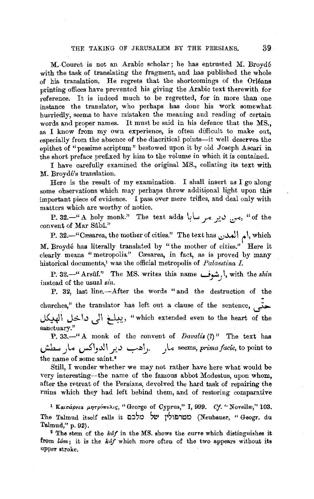M.-Couret is not an Arabic scholar; he has entrusted M. Broyde with the task of translating the fragment, and has published the whole of his translation. He regrets that the shortcomings of the Orleans printing offices have prevented his giving the Arabic text therewith for reference. It is indeed much to be regretted, for in more than one instance the translator, who perhaps has done his work somewhat hurriedly, seems to have mistaken the meaning and reading of certain words and proper names. It must be said in his defence that the MS., as I know from my own experience, is often difficult to make out, especially from the absence of the diacritical points-it well deserves the epithet of "pessime scriptum" bestowed upon it by old Joseph Ascari in the short preface prefixed by him to the volume in which it is contained.

I have carefully examined the original MS., collating its text with M. Broyde's translation.

Here is the result of  $my$  examination. I shall insert as I go along some observations which may perhaps throw additional light upon this important piece of evidence. I pass over mere trifles, and deal only with matters which are worthy of notice.

P. 32.-" A holy monk." The text adds ~ l, \_r f...) ..:r=, "of the convent of Mar Sâbâ."

**P.** 32.-"Cresarea, the mother of cities." The text has **1.:)-.\.J** I *t* I, which M. Broydé has literally translated by "the mother of cities." Here it clearly means "metropolis." Cæsarea, in fact, as is proved by many historical documents,<sup>1</sup> was the official metropolis of *Palaestina I*.

P. 32.-" Arsilf." The MS. writes this name *wr,* I, with the *shin*  instead of the usual  $sin$ .

P. 32, last line.--After the words "and the destruction of the churches," the translator has left out a clause of the sentence,  $\overline{I}$ -*\$~* \ J~1.) **JI t:½'?.'** "which extended even to the heart of the sanctuary."

**P.** 33. $-$ " A monk of the convent of *Davalis* (?)" The text has **J.b...** *\_)L..* **~1\_\_,,..\l\** ..J. . .) ~~~- *.}'°* seems, *primafacie,* to point to the name of some saint.<sup>2</sup>

Still, I wonder whether we may not rather have here what would be very interesting--the name of the famous abbot Modestus, upon whom, after the retreat of the Persians, devolved the hard task of repairing the ruins which they had left behind them, and of restoring comparative

<sup>1</sup> Καισάρεια μητρόπολις, "George of Cyprus," I, 999. *Cf.* "Novellæ," 103. The Talmud itself calls it c:הלכם מטרפולין מלכם (Neubauer, " Geogr. du Talmud," p. 92).

<sup>2</sup> The stem of the *kaf* in the MS. shows the curve which distinguishes it from *lam;* it is the *kaf* which more often of the two appears without its upper stroke.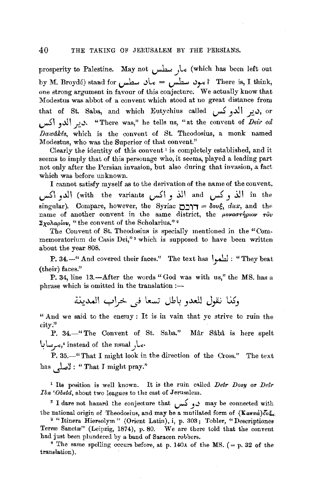prosperity to Palestine. May not *u--1--: \_)Le* (which has been left out by M. Broydé) stand for مود سطس = ماد سطس = 1 think, one strong argument in favour of this conjecture. We actually know that Modestus was abbot of a convent which stood at no great distance from that of St. Saba, and which Eutychius called *إير* ألدوكس, or ~I .,~I .1:.~· "There was," he tells us, "at the convent of *Deir ed Dawdk!Js,* which is the convent of St. Theodosius, a monk named Modestus, who was the Superior of that convent."

Clearly the identity of this convent 1 is completely established, and it seems to imply that of this personage who, it seems, played a leading part not only after the Persian invasion, but also during that invasion, a fact which was before unknown.

I cannot satisfy myself as to the derivation of the name of the convent, ~\ y.\ll (with the variants ~I **J** ~I and ~) *~\* in the  $singular$ ). Compare, however, the Syriac  $\tau$ **ו** $=$   $\delta$ ov $\xi$ , *dux*, and the name of another convent in the same district, the *pova*ornpoor rov  $Σ$ χολαρίου, "the convent of the Scholarius."<sup>2</sup>

The Convent of St. Theodosius is specially mentioned in the "Commemoratorium de Casis Dei,"<sup>3</sup> which is supposed to have been written about the year 808.

P. 34.<sup>.....</sup> And covered their faces.'' The text has **I** يظهوا : "They beat <br>(their) faces."

P. 34, line 13.-After the words "God was with us," the MS. has a  $phrase$  which is omitted in the translation :-

وكذا نقول للعدو باطل تسعا في خراب المدينة

"And we said to the enemy: It is in vain that ye strive to ruin the city."

P. 34.-" The Convent of St. Saba." Mår Såbå is here spelt *~l.:\_r<,'* instead of the usual.Jl..,.

P. 35.-" That I might look in the direction of the Cross." The text has ~] : " That I might pray.''

<sup>1</sup> Its position is well known. It is the ruin called *Deir Dosy* or *Deir Ibn 'Obeid*, about two leagues to the east of Jerusalem.

: I dare not hazard the conjecture that ~ **J"'** may be connected with the national origin of Theodosius, and may be a mutilated form of  $(K \alpha \pi \pi \dot{a}) \bar{c} \epsilon$ .

<sup>3</sup> "Itinera Hiersolym" (Orient Latin), i, p. 303; Tobler, "Descriptiones Terræ Sanctæ" (Leipzig, 1874), p. 80. We are there told that the convent had just been plundered by a band of Saracen robbers.

<sup>4</sup> The same spelling occurs before, at p. 140 $\mu$  of the MS. ( = p. 32 of the translation).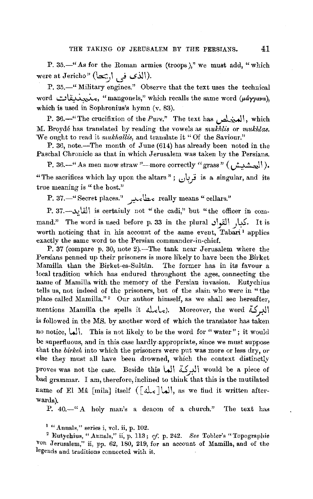P. 35.-" As for the Roman armies (troops)," we must add, "which -were at Jericho" **(b::'.,\ \_j .,s.).)\) .** ..,, u

P. 35.-" Military engines." Observe that the text uses the technical word *..::..:lii..u...~,* "mangonels," which recalls the same word *(µayyav"),*  which is used in Sophronius's hymn (v. 83).

P. 36.<sup>-"</sup> The crucifixion of the *Pure.*" The text has  $\mu$  which M. Broydé has translated by reading the vowels as *mukhlis* or *mukhlas*. We ought to read it *mukhallis*, and translate it "Of the Saviour."

P. 36, note.-The month of June (614) has already been noted in the Paschal Chronicle as that in which Jerusalem was taken by the Persians.

P. 36.--" As men mow straw "---more correctly " grass " ( الجشميشر )). "The sacrifices which lay upon the altars" ; *(.:)\.,j* is a singular, and its true meaning is "the host."

P. 37.-'' Secret places." مطاءئير " really means " cellars."

P. 3i.-..>.:: !Jil I is certaiuly not "the cadi," but "the officer in command." The word is used before p. 33 in the plural .July. It is worth noticing that in his account of the same event, Tabari<sup>1</sup> applies exactly the same word to the Persian commander-in-chief.

P. 37 (compare p. 30, note 2).-The tank near Jerusalem where the Persians penned up their prisoners is more likely to have been the Birket Mamilla than the Birket-es-Sultân. The former has in its favour a local tradition which has endured throughout the ages, connecting the name of Mamilla with the memory of the Persian invasion. Eutychius tells us, not indeed of the prisoners, but of the slain who were in "the place called Mamilla."<sup>2</sup> Our author himself, as we shall see hereafter, mentions Mamilla (he spells it c). Moreover, the word البركة is followed in the MS. by another word of which the translator has taken no notice,  $\{\downarrow\}$ . This is not likely to be the word for " water"; it would be superfluous, and in this case hardly-appropriate, since we must suppose that the *birkeh* into which the prisoners were put was more or less dry, or else they must all have been drowned, which the context distinctly proves was not the case. Beside this  $\lvert \mu \rvert$  level if  $\lvert \mu \rvert$  would be a piece of bad grammar. I am, therefore, inclined to think that this is the mutilated name of El Mâ [mila] itself ( $\lceil d \log d \rceil$ , as we find it written afterwards).

P.  $40. -$ " A holy man's a deacon of a church." The text has

 $<sup>1</sup>$  "Annals," series i, vol. ii, p. 102.</sup>

<sup>2</sup>Eutychius, "Annals," ii, p. 113; *cf.* p. 242. *See* Tobler's "Topographie Von Jerusalem," ii, pp. 62, 180, 219, for an account of Mamilla, and of the legends and traditions connected with it.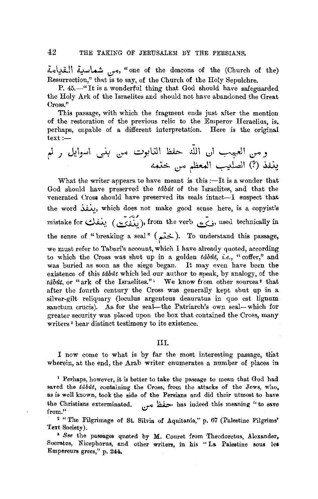~\::U-l\ ~:'--'\....;. ~• "one of the deacons of the (Church of the) Resurrection," that is to say, of the Church of the Holy Sepulchre.

P. 45.-" It is a wonderful thing that God should have safeguarded the Holy Ark of the Israelites and should not have abandoned the Great Cross."

This passage, with which the fragment ends just after the mention of the restoration of the previous relic to the Emperor Heraelius, is, perhaps, capable of a different interpretation. Here is the original  $text:$ 

**<sup>t</sup>'** \_; J:,\\_, ... \ ~ -:.~ '-=-'y.l.:.JI ~ .ill\ ~\ '-:-"~•J\ .:Y" \_, ~ .:.r" ~ I ~Lal I (?) ~

What the writer appears to have meant is this  $-\text{It}$  is a wonder that God should have preserved the *tabut* of the Israelites, and that the venerated Cross should have preserved its seals intact-I suspect that the word *iii*, which does not make good sense here, is a copyist's mistake for يَتْبَى from the verb وَيَنْفَرَى , used technically in the sense of "breaking a seal" (ختم). To understand this passage, we must refer to Tabari's account, which I have already quoted, according to which the Cross was shut up in a golden *tabut*, i.e., "coffer," and was buried as soon as the siege began. It may even have been the existence of this *tabit* which led our author to speak, by analogy, of the *tabut*, or "ark of the Israelites."<sup>1</sup> We know from other sources<sup>2</sup> that after the fourth century the Cross was generally kept shut up in a silver-gilt reliquary (loculus argenteus deauratus in quo est lignum sanctum crucis). As for the seal-the Patriarch's own seal-which for greater security was placed upon the box that contained the Cross, many writers<sup>3</sup> bear distinct testimony to its existence.

#### III.

I now come to what is by far the most interesting passage, that wherein, at the end, the Arab writer enumerates a number of places in

1 Perhaps, however, it is better to take the passage to mean that God had saved the *tabut*, containing the Cross, from the attacks of the Jews, who, as is well known, took the side of the Persians and did their utmost to have the Christians exterminated. *وج*فظ می **from!'** 

<sup>2</sup> "The Pilgrimage of St. Silvia of Aquitania," p. 67 (Palestine Pilgrims' Text Society).

<sup>3</sup> See the passages quoted by M. Couret from Theodoretus, Alexander, Socrates, Nicephorus, and other writers, in his "La Palestine sous les Empereurs grecs," p. 244.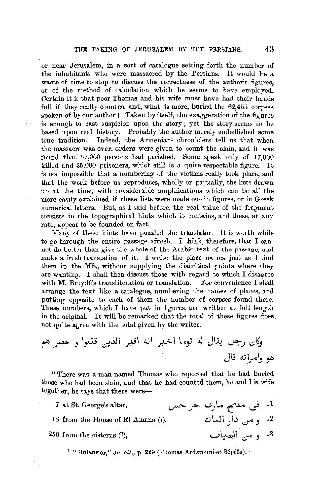or near Jerusalem, in a sort of catalogue setting forth the num her of the inhabitants who were massacred by the Persians. It would be a waste of time to stop to discuss the correctness of the author's figures. or of the method of calculation which he seems to have employed. Certain it is that poor Thomas and his wife must have had their hands full if they really counted and, what is more, buried the 62,455 corpses spoken of by our author ! Taken by itself, the exaggeration of the figures is enough to cast suspicion upon the story ; yet the story seems to be based upon real history. Probably the author merely embellished some true tradition. Indeed, the Armenian<sup>1</sup> chroniclers tell us that when Indeed, the Armenian<sup>1</sup> chroniclers tell us that when the massacre was over, orders were given to count the slain, and it was found that 57,000 persons had perished. Some speak only of 17,000 killed and 35,000 prisoners, which still is a quite respectable figure. It is not imposgible that a numbering of the victims really took place, and that the work before us reproduces, wholly or partially, the lists drawn up at the time, with considerable amplifications which can be all the more easily explained if these lists were made out in figures, or in Greek numerical letters. But, as I said before, the real value of the fragment consists in the topographical hints which it contains, and these, at any rate, appear to be founded on fact.

Many of these hints have puzzled the translator. It is worth while to go through the entire passage afresh. I think, therefore, that I cannot do better than give the whole of the Arabic text of the passage, and make a fresh translation of it. I write the place names just as I find them in the MS,, without supplying the diacritical points where they are wanting. I shall then discuss those with regard to which I disagree with M. Broydé's transliteration or translation. For convenience I shall arrange the text like a catalogne, numbering the names of places, and putting opposite to each of them the number of corpses fonnd there. These numbers, which I have put in figures, are written at full length in the original. It will be remarked that the total of these figures does. not quite agree with the total given by the writer.

<sup>~</sup>\_r:>) 1.,w *d.-~'* \_\_r.J1 .i..i\ r1 L.o.; Ai J\~ *J::-\_) I;)~*  Ju .u~-b <sup>~</sup>

"There was a man named Thomas who reported that he had buried those who had been slain, and that he had counted them, he and his wife together, he says that there were-

- **<sup>7</sup>**at St. George's altar, ~ *J:> ...s \_ \_,,* \... **t\_:'M** *~:,*  .1
- 18 from the House of  $\mathbf{El}$  Amana  $\langle \rangle$ ,

 $250$  from the cisterns  $(?)$ ,

<sup>1</sup> "Dulaurier," op. cit., p. 229 (Thomas Ardzrouni et Sépéôs). 3. ومن البهداب

2. ومن دار الامانه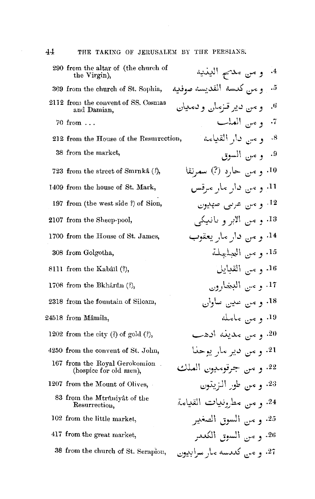| 290 from the altar of (the church of<br>the Virgin),    | و من مدحم الينيه<br>$\cdot$ <sup>4</sup> |
|---------------------------------------------------------|------------------------------------------|
| 369 from the church of St. Sophia,                      | و سي كدسه القديسه صوفيه<br>$\cdot$ 5     |
| 2112 from the convent of SS. Cosmas<br>and Damian,      | و من دير قـزمان و دميان<br>$\cdot$       |
| 70 from                                                 | 7. ويس العلب                             |
| 212 from the House of the Resurrection,                 | و مس دار القیامه<br>$^{\circ}$ .8        |
| 38 from the market,                                     | 9. و من السوق                            |
| 723 from the street of Smrnka (?),                      | 10. و مس حارد (?) سمرنقا                 |
| 1409 from the house of St. Mark,                        | 11 و میں دار مار مرقس                    |
| 197 from (the west side ?) of Sion,                     | <sup>12</sup> و من عربی صهدیوں           |
| 2107 from the Sheep-pool,                               | 13. و من الابر و بانبيكي                 |
| 1700 from the House of St. James,                       | 14. و سن دار مار يعقوب                   |
| 308 from Golgotha,                                      | 15. و من العبلمجلة                       |
| 8111 from the Kabâïl (?),                               | 16. و مس القبايل                         |
| 1708 from the Bkhartin (?),                             | 17. و من البخارون                        |
| 2318 from the fountain of Siloam,                       | 18. و میں عدیں ساوان                     |
| 24518 from Mâmila.                                      | 19. و میں مامله                          |
| 1202 from the city $(l)$ of gold $(l)$ ,                | 20. و مس مدينه ادهب                      |
| 4250 from the convent of St. John,                      | 21. و مَن دير مار يوحنا                  |
| 167 from the Royal Gerokomion<br>(hospice for old men), | 22. و س جرقومديون الملك                  |
| 1207 from the Mount of Olives,                          | 23. و من طور النزيتون                    |
| 83 from the Mtrûniyât of the<br>Resurrection.           | 24. و مس مطرونبيات القيامة               |
| 102 from the little market,                             | 25. و من السوق الصغير                    |
| 417 from the great market,                              | 26. و من السوق الكندر                    |
| 38 from the church of St. Serapion,                     | 27. و مي كديسه مار سرابيون               |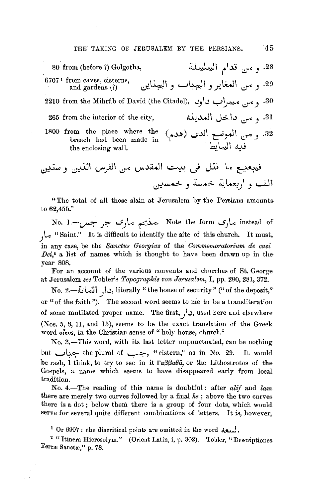28. و من قدام العلملة 80 from (before ?) Golgotha, 6707<sup>1</sup> from caves, cisterns. 29. و من العغاير و العبيات و العناين and gardens  $(?)$ 30. و تيس معجزات داود .(2210 from the Mihrâb of David (the Citadel) و ميس معجزات 31. وعلى قاخل المدينة 265 from the interior of the city, 32. و من العوض الدى (هدم) laop from the place where the<br>breach had been made in (هدم) laop in the enclosing wall. the enclosing wall.

"The total of all those slain at Jerusalem by the Persians amounts to 62,455."

No. 1. جس-.1 Note the form منذبهم ماری جو جس-.1 No. , C "Saint." It is difficult to identify the site of this church. It must, in any case, be the Sanctus Georgius of the Commemoratorium de casi  $Dei^*$  a list of names which is thought to have been drawn up in the vear 808.

For an account of the various convents and churches of St. George at Jerusalem see Tobler's Topographie von Jerusalem, I, pp. 280, 281, 372.

No. 2 .- ذَا, الإمانة, literally " the house of security " (" of the deposit," or "of the faith "). The second word seems to me to be a transliteration of some mutilated proper name. The first,  $\bigcup$ , used here and elsewhere (Nos. 5, 8, 11, and 15), seems to be the exact translation of the Greek word olkos, in the Christian sense of "holy house, church."

No. 3.-This word, with its last letter unpunctuated, can be nothing but جداب the plural of جمال "cistern," as in No. 29. It would be rash, I think, to try to see in it  $\Gamma a\beta\beta a\theta\hat{a}$ , or the Lithostrotos of the Gospels, a name which seems to have disappeared early from local tradition.

No. 4.-The reading of this name is doubtful: after alif and lam there are merely two curves followed by a final he; above the two curves there is a dot; below them there is a group of four dots, which would serve for several quite different combinations of letters. It is, however,

<sup>2</sup> "Itinera Hierosolym." (Orient Latin, i, p. 302). Tobler, "Descriptiones Terræ Sanctæ," p. 78.

 $-45$ 

<sup>&</sup>lt;sup>1</sup> Or 6907: the diacritical points are omitted in the word  $\lambda$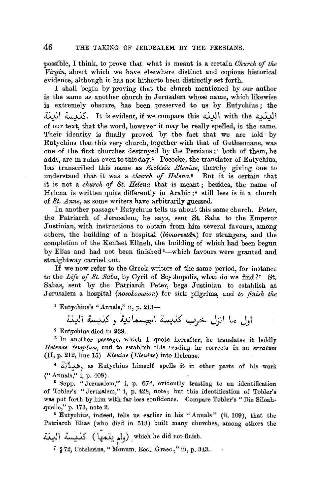possible, I think, to prove that what is meant is a certaiu *Ohitrch of the Virgin,* about which we have elsewhere distinct and copious historical evidence, although it has not hitherto been distinctly set forth.

I shall begin by proving that the church mentioned by our author is the same as another church in Jerusalem whose name, which likewise is extremely obscure, has been preserved to us by Eutychius; the 4.'JI ~- It is evident, **if** we compare this ~I with the ~\ of our text, that the word, however it may be really spelled, is the same. Their identity is finally proved by the fact that we are told by Eutychins that this very church, together with that of Gethsemane, was one of the first churches destroyed by the Persians ;<sup>1</sup> both of them, he adds, are in ruins even to this day.• Pococke, the translator of Eutychius, has transcribed this name as *Eccleaia Eleniae,* thereby giving one to understand that it was a *church of Helena.•* But it is certain that it is not a *church of St. Helena* that is meant ; besides, the name of Helena is written quite differently in Arabic;<sup>4</sup> still less is it a church of *St. Anne*, as some writers have arbitrarily guessed.

In another passage• Eutychius tells us about this same church. Peter, the Patriarch of Jerusalem, he says, sent St. Saba to the Emperor Justinian, with instructions to obtain from him several favours, among others, the building of a hospital *(bimarestan)* for strangers, and the completion of the Keniset Elineh, the building of which had been begun by Elias and had not been finished •-which favours were granted and straightway carried out.

If we now refer to the Greek writers of the same period, for instance to the *Life of* St. *Saba,* by Cyril of Scythopolis, what do we find *1'* St. Sabas, sent by the Patriarch Peter, begs Justinian to establish at .Jerusalem a hospital *(nosolcomeion)* for sick pilgrims, and *to finish the* 

1 Eutychius's "Annals," ii, p. 213-

اول ما انزل خرب كذبيسة المجسمانية وكذبيسة البينة

~ Eutychius died in 939.

<sup>3</sup> In another passage, which I quote hereafter, he translates it boldly *Helenae templum,* and to establish this reading he corrects in an *erratum*  (II, p. 212, line 15) *Eleuiae (Eleniae)* into Helenae.

4 .i:.i~, as Eutychius himself spells it in other parts of his work {" Annals," i, p. 408).

<sup>5</sup> Sepp. "Jerusalem," i, p. 674, evidently trusting to an identification of Tobler's "Jerusalem," i, p. 428, note; hut this identification of Tobler's was put forth by him with far less confidence. Compare Tobler's "Die Siloahquelle," p. 173, note 2.

<sup>6</sup>Eutychius, indeed, tells us earlier in his "Annals" (ii, 109), that the Patriarch Elias (who died in 513) built many churches, among others the

لولم يتمها ) Vhich he did not finish.<br>البغة

7 § 72, Cotelerius, "Monum. Eccl. Graec.," iii, p. 343.-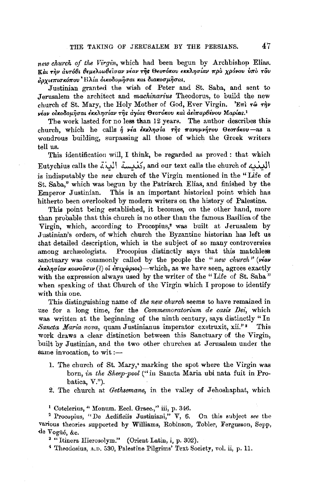new church of the Virgin, which had been begun by Archbishop Elias. Και την αυτόθι θεμελιωθείσαν νέαν της Θεοτόκου εκκλησίαν προ χρόνου υπό του άργιεπισκόπου Ηλία δικοδομήσαι και διακοσμήσαι,

Justinian granted the wish of Peter and St. Saba, and sent to Jerusalem the architect and *machinarius* Theodorus, to build the new church of St. Mary, the Holy Mother of God, Ever Virgin. 'Ent ro rhv νέαν οικοδομήσαι έκκλησίαν της ανίας Θεοτόκου και αειπαρθένου Maplas.<sup>1</sup>

The work lasted for no less than 12 years. The author describes this church, which he calls  $\eta$  vea example  $\tau \hat{\eta} s$  mavuuvntou Oeorokou-as a wondrous building, surpassing all those of which the Greek writers tell us.

This identification will, I think, be regarded as proved : that which Eutychius calls the دَمْلِيسة اللَّذة Eutychius calls the دَمْلِيسة اللَّذة is indisputably the new church of the Virgin mentioned in the "Life of St. Saba," which was begun by the Patriarch Elias, and finished by the This is an important historical point which has Emperor Justinian. hitherto been overlooked by modern writers on the history of Palestine.

This point being established, it becomes, on the other hand, more than probable that this church is no other than the famous Basilica of the Virgin, which, according to Procopius,<sup>2</sup> was built at Jerusalem by Justinian's orders, of which church the Byzantine historian has left us that detailed description, which is the subject of so many controversies among archaeologists. Procopius distinctly says that this matchless sanctuary was commonly called by the people the "new church" ( $\nu \in \mathbb{R}$ "  $\epsilon$ κκλησίαν κοινούσιν (?) οι  $\epsilon$ πιχώριοι) - which, as we have seen, agrees exactly with the expression always used by the writer of the "Life of St. Saba" when speaking of that Church of the Virgin which I propose to identify with this one.

This distinguishing name of the new church seems to have remained in use for a long time, for the Commemoratorium de casis Dei, which was written at the beginning of the ninth century, says distinctly "In Sancta Maria nova, quam Justinianus imperator exstruxit, xii."<sup>3</sup> This work draws a clear distinction between this Sanctuary of the Virgin, built by Justinian, and the two other churches at Jerusalem under the same invocation, to wit :-

- 1. The church of St. Mary,<sup>4</sup> marking the spot where the Virgin was born, in the Sheep-pool ("in Sancta Maria ubi nata fuit in Probatica, V.").
- 2. The church at Gethsemane, in the valley of Jehoshaphat, which

<sup>1</sup> Cotelerius, "Monum. Eccl. Graec.," iii, p. 346.

<sup>2</sup> Procopius, "De Aedificiis Justiniani,"  $\nabla$ , 6. On this subject see the various theories supported by Williams, Robinson, Tobler, Fergusson, Sepp, de Vogüé, &c.

<sup>3</sup> "Itinera Hierosolym." (Orient Latin, i, p. 302).

<sup>4</sup> Theodosius, A.D. 530, Palestine Pilgrims' Text Society, vol. ii, p. 11.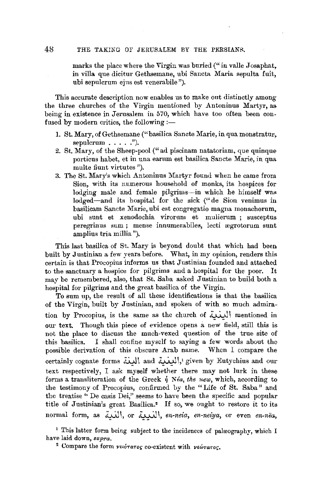### 48 THE TAKING OF JERUSALEM BY THE PERSIANR.

marks the place where the Virgin was buried ("in valle Josaphat, in villa que dicitur Gethsemane, ubi Sancta Maria sepulta fuit, nbi sepulcrum ejns est venerabile ").

This accurate description now enables us to make out distinctly among the three churches of the Virgin mentioned by Antoninus Martyr, as being in existence in Jerusalem in 570, which have too often been confused by modern critics, the following  $:=$ 

- 1. St. Mary, of Gethsemane ("basilica Sancte Marie, in qua monstratur, sepulcrum  $\ldots$  .").
- 2. St. Mary, of the Sheep-pool(" ad piscinam natatoriam, que quinque porticus habet, et in una earum est basilica Saucte Marie, in qua multe fiunt virtutes ").
- 3. The St. Mary's which Antoninus Martyr found when he came from Sion, with its numerous household of monks, its hospices for lodging male and female pilgrims-in which he himself was lodged-and its hospital for the sick (" de Sion venimus in basilicam Sancte Marie, ubi est congregatio magna monachorum, ubi sunt et xenodochia virorum et mulierum ; susceptus peregrinus sum; mense innumerabiles, lecti ægrotorum sunt amplius tria millia ").

This last basilica of St. Mary is beyond doubt that which had been built by Justinian a few years before. What, in my opinion, renders this certain is that Procopius informs us that Justinian founded and attached to the sanctuary a hospice for pilgrims and a hospital for the poor. It may be remembered, also, that St. Saba asked Justinian to build both a hospital for pilgrims and the great basilica of the Virgin.

To sum up, the result of all these identifications is that the basilica of the Virgin, built by Justinian, and spoken of with so much admiration by Procopius, is the same as the church of اللغلة mentioned in our text. Though this piece of evidence opens a new field, still this is not the place to discuss the much-vexed question of the true site of this basilica. I shall confine myself to saying a few words about the possible derivation of this obscure Arab name. When I compare the certainly cognate forms {الينة} and and {البندية}، والليفية and  $\mu$ } given by Eutychius and our text respectively, I ask myself whether there may not lurk in these forms a transliteration of the Greek  $\eta$  *Néa, the new, which, according to* the testimony of Procopius, confirmed by the "Life of St. Saba" and the treatise '' De casis Dei," seems to have been the specific and popular title of Justinian's great Basilica.<sup>•</sup> If so, we ought to restore it to its normal form, as .*i*iii, or *II, en-neia, en-neiya*, or even *en-nëa*,

<sup>&</sup>lt;sup>1</sup> This latter form being subject to the incidences of palæography, which I have laid down, *supra*.

<sup>&</sup>lt;sup>2</sup> Compare the form *vEL*oraTog co-existent with *vEWTaTOG*.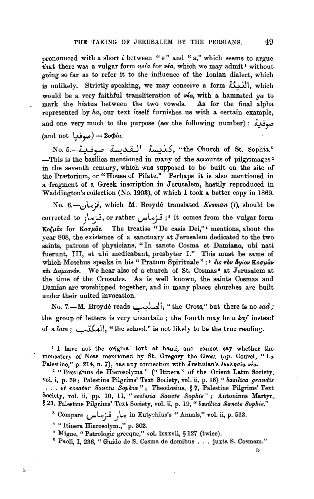pronounced with a short  $i$  between " $e$ " and " $a$ ," which seems to argue that there was a vulgar form *neia* for *véa*, which we may admit<sup>1</sup> without going so far as to refer it to the influence of the Ionian dialect, which is unlikely. Strictly speaking, we may conceive a form النعكة, which would be a very faithful transliteration of *via,* with a hamzated *ya* to mark the hiatus between the two vowels. As for the final alpha represented by  $ha$ , our text itself furnishes us with a certain example, and one very much to the purpose (see the following number): موفدة (and not 4J **J"")** = *'iocp[a.* 

No. 5.-~ ~ ~~I ~.5, "the Church of St. Sophia.''  $-$ This is the basilica mentioned in many of the accounts of pilgrimages<sup>2</sup> in the seventh century, which was supposed to be built on the site of the Prætorium, or "House of Pilate." Perhaps it is also mentioned in a fragment of a Greek inscription in Jerusalem, hastily reproduced in Waddington's collection (No. 1903), of which I took a better copy in 1869.

No. *6.-.:.1\..oj,* which *M.* Broyde translated *Kesman* (1), should be corrected to **;تر**ماز or rather قرماس), or rather ترماز eted to i Ko(µas for *Kooµas.* The treatise "De casis Dei,"<sup>4</sup> mentions, about the year 808, the existence of a sanctuary at Jerusalem dedicated to the two saints, patrons of physicians, " In sancte Cosma et Damiano, ubi nati fuerunt, III, et ubi medicabant, presbyter I." This must be same of which Moschus speaks in his "Pratum Spirituale":<sup>5</sup> *dis rov dyiov Koouav*-**,c;,,** *aaµ,tav&v.* We hear also of a church of St. Cosmas' at Jerusalem at the time of the Crusades. As is well known, the saints Cosmas and Damian are worshipped together, and in many places churches are built under their united invocation.

No. 7.-M. Broyde reads~\, "the Cross," but there is no *sad;*  the group of letters is very uncertain; the fourth may be a kaf instead of a *lam*;  $\lambda$ , "the school," is not likely to be the true reading.

1 I have not the original text at hand, and cannot say whether the monastery of Neas mentioned by St. Gregory the Great *(ap.* Couret, "La Palestine," p. 214, n. 7), has any connection with Justinian's  $\frac{\partial f}{\partial n}$  via.

<sup>2</sup> "Breviarius de Hierosolyma" ("Itinera" of the Orient Latin Society, vol. i, p. 59; Palestine Pilgrims' Text Society, vol.'ii, p. 16) *"basilica grandis*  ... *et vocatur 8ancta Bopkia* " ; Theodosius, § 7, Palestine Pilgrims' Text Society, vol. ii, pp. 10, 11, " *ecalesia Bancte 8opkie"* ; Antoninus Martyr,. § 23, Palestine Pilgrims' Text Society, vol. ii, p. 19, " basilica Sancte Sophie."

<sup>3</sup>Compare **L,WY** .)L.., in Eutychius's "Annals," vol. ii, p. 513.

4 "Itinera Hierosolym.," p. 302.

طأ

<sup>5</sup> Migne, "Patrologie grecque," vol. lxxxvii, § 127 (twice).

 $6$  Paoli, I, 236, " Guido de S. Cosma de domibus ... juxta S. Cosmam."

D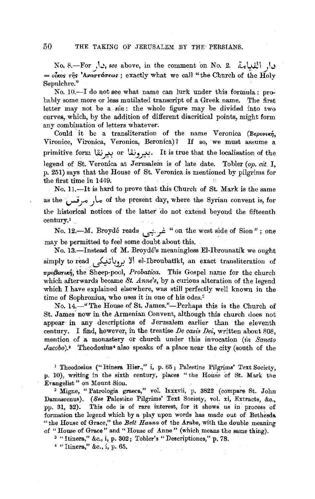No. 8.-For ,  $\downarrow$ , *see* above, in the comment on No. 2. Let  $\downarrow$  $=$  *olkos της 'Αναστάσεως*; exactly what we call "the Church of the Holy Sepulchre."

No. JO.-I do not see what name can lurk under this formula: probably some more or less mutilated transcript of a Greek name. The first letter may not be a  $sin$ : the whole figure may be divided into two curves, which, by the addition of different diacritical points, might form any combination of letters whatever.

Could it be a transliteration of the name Veronica (Bepovin, Vironice, Vironica, Veronica, Beronica)? If so, we must assume a primitive form I.ii **f.":'** or **li.~~.** It is true that the localisation of the legend of St. Veronica at Jerusalem is of late date. Tobler (op. cit. I, p. 251) says that the House of St. Veronica is mentioned by pilgrims for the first time in 1449.

No. 11.-It is hard to prove that this Church of St. Mark is the same as the مار مرقس of the present day, where the Syrian convent is, for the historical notices of the latter do not extend beyond the fifteenth century.'

No. 12.-M. Broydé reads  $\frac{1}{2}$  " on the west side of Sion"; one may be permitted to feel some doubt about this.

No. 13.-Instead of M. Broyde's meaningless El-Ibrounatik we ought simply to read . وباتيكم el-Ibroubatiki, an exact transliteration of  $\pi$ po $\beta$ arun, the Sheep-pool, *Probatica*. This Gospel name for the church which afterwards became *St. Anne's,* by a curious alteration of the legend which I have explained elsewhere, was still perfectly well known in the time of Sophronius, who uses it in one of his odes.<sup>2</sup>

No. 14.-" The House of St. James."-Perhaps this is the Church of St. James· now in the Armenian Convent, although this church does not appear in any descriptions of Jerusalem earlier than the eleventh century. I find, however, in the treatise *De casis Dei,* written about 808, mention of a monastery or church under this invocation *(ln Sancto Jacobo*).<sup>3</sup> Theodosius<sup>4</sup> also speaks of a place near the city (south of the

<sup>1</sup> Theodosius ("Itinera Hier.," i, p. 65; Palestine Pilgrims' Text Society, p. 10), writing in the sixth century, places "the House of St. Mark the Evangelist " on Mount Siou.

<sup>2</sup> Migne, "Patrologia graeca," vol. lxxxvii, p. 3822 (compare St. John Damascenus). (See Palestine Pilgrims' Text Society, vol. xi, Extracts, &o., pp. 31, 32). This ode is of rare interest, for it shows us in process of formation the legend which by a play upon words has made out of Bethesda. " the House of Grace," the *Bett Hanna* of the Arabs, with the double meaning of "House of Grace" and "House of Anne" (which means the same thing).

3 "Itinera," &c., i, p. 302; Tohler's "Descriptiones," p. 78.

4 "Itinera," &c., i, p. 65.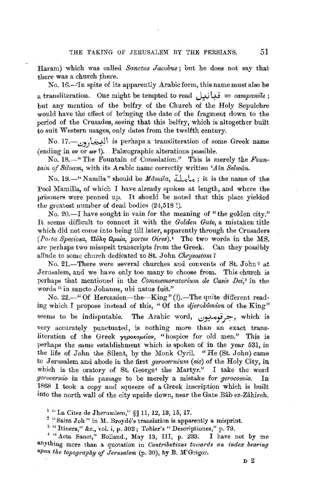Haram) which was called *Sanctus Jacobus;* but he does not say that there was a church there.

No. 16.-·In spite of its apparently Arabic form, this name must also be a transliteration. One might be tempted to read  $\omega = \epsilon$  *ampanile*; but any mention of the belfry of the Church of the Holy Sepulchre would have the effect of bringing the date of the fragment down to the period of the Crusades, seeing that this belfry, which is altogether built to suit Western usages, only dates from the twelfth century.

No. 17.-..:.!J}-~~ I is perhaps a transliteration of some Greek name  ${$ (ending in *ov* or  $\omega$ ?). Palæographic alterations possible.

No. 18.-" The Fountain of Consolation." This is merely the *Fountain of Siloam,* with its Arabic name correctly written *'Aln Selwdn.* 

No. 19.<sup>-</sup>' Namila" should be *Mamila*, تعاعلته, it is the name of the Pool Mamilla, of which I have already spoken at length, and where the prisoners were penned up. It should be noted that this place yielded the greatest number of dead bodies (24,518!).

No. 20.-I have sought in vain for the meaning of "the golden city." It seems difficult to connect it with the *Golden Gate,* a mistaken title which did not come into being till later, apparently through the Crusaders *(Porta Speciosa, Πύλη Ωραία, portes Oires).'* The two words in the MS. are perhaps two misspelt trauscripts from the Greek. Can they possibly allude to some church dedicated to St. John *Chrysostom?* 

No. 21.-There were several churches and convents of St. John<sup>2</sup> at Jernsalem, and we have only too many to choose from. This church is perhaps that mentioned in the *Commemoratorium de Casis Dei*,<sup>3</sup> in the words" in sancto Johanne, ubi natus fuit."

No. 22.-" Of Hercanien-the-King" (?).-The quite different reading which I propose instead of this, "Of the *dJerokomion* of the King" ~eems to be indisputable. The Arabic word, *..:Jr.--"i,,1::>:-,* which is very accurately punctuated, is nothing more than an exact transliteration of the Greek γηροκομείον, "hospice for old men." This is perhaps the same establishment which is spoken of in the year 531, in the life of John the Silent, by the Monk Cyril. "He (St. John) came to Jerusalem and abode in the first *gerocernium* (sic) of the Holy City, in which is the oratory of St. George• the Martyr." I take the word *gerocernio* in this passage to be merely a mistake for *gerocomio.* In 1868 I took a copy and squeeze of a. Greek inscription which is built into the north wall of the city upside down, near the Gate Bab ez-Zahireh.

1 "La Citez de Jherusalem," §§ 11, 12, 13, 15, 17.

 $^2$  "Saint Joh" in M. Broyde's translation is apparently a misprint.

 $3$  "Itinera," &c., vol. i, p. 302; Tobler's "Descriptiones," p. 79.

• "Acta Sanct," Bolland., May 13, III, p. 233. I have not by me anything more than a quotation in *Contributions towards an index bearing upon the topography of Jerusalem* (p. 30), by B. M'Grigor.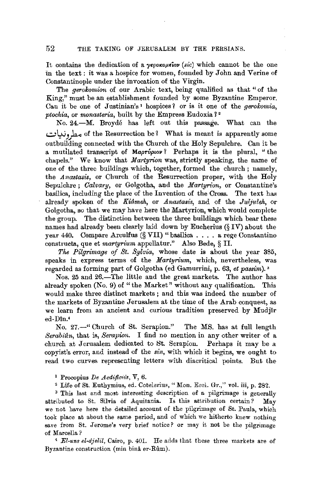It contains the dedication of a  $\gamma$ *EpoKoµEiov (sic)* which cannot be the one in the text : it was a hospice for women, founded by John and Verine of Constantinople under the invocation of the Virgin.

The *gerolcomion* of our Arabic text, being qualified as that "of the King," must be an establishment founded by some Byzantine Emperor. Can it be one of Justinian's<sup>1</sup> hospices? or is it one of the *gerokomia*, *ptockia,* or *monasteria,* built by the Empress Eudoxia 1<sup>2</sup>

No. 24.-M. Broyde has left out this passage. What can the of the Resurrection be? What is meant is apparently some مطرونيات outbuilding connected with the Church of the Holy Sepulchre. Can it be a mutilated transcript of *MapTuplov?* Perhaps it is the plural, "the chapels." We know that *Martyrion* was, strictly speaking, the name of one of the three buildings which, together, formed the church; namely, the *Anastasis*, or Church of the Resurrection proper, with the Holy Sepulchre; *Calvary,* or Golgotha, and the *Martyrion,* or Constantine's basilica, including the place of the Invention of the Cross. The text has already spoken of the *Kiômeh*, or *Anastasis*, and of the *Juljuleh*, or Golgotha, so that we may have here the Martyrion, which would complete the group. The distinction between the three buildings which bear these names had already been clearly laid down by Eucherius (§ IV) about the year 440. Compare Arculfus (§ VII) "basilica .... a rege Constantino constructa, que et *martyrium* appellatur." Also Bede, § II.

*The Pilgrimage of St. Sylvia,* whose date is about the year 385, speaks in express terms of the *Martyrium,* which, nevertheless, was regarded as forming part of Golgotha (ed Gamurrini, p. 63, *et passim).•* 

Nos. 25 and 26.-The little and the great markets. The author has already spoken  $(N_0, 9)$  of "the Market" without any qualification. This would make three distinct markets ; and this was indeed the number of the markets of Byzantine Jerusalem at the time of the Arab conquest, as we learn from an ancient and curious tradition preserved by Mudjlr ed-Dtn.•

No. 27.-" Church of St. Serapion." The MS. has at full length *Serabidn,* that is, *Serapion.* I find no mention in any other writer of a church at Jerusalem dedicated to St. Serapion. Perhaps it may be a copyist's error, and instead of the *sin,* with which it begins, we ought to read two curves representing letters with diacritical points. But the

1 Procopius *De Aedificiis,* V, 6.

~ Life of St. Euthymius, ed. Cotelerius, "Mon. Eccl. Gr.," vol. iii, p. 282.

<sup>3</sup>This last and most interesting description of a pilgrimage is generally attributed to St. Silvia of Aquitania. Is this attribution certain? May we not have here the detailed account of the pilgrimage of St. Paula, which took place at about the same period, and of which we hitherto knew nothing save from St. Jerome's very brief notice? or may it not be the pilgrimage of Marcella *?* 

<sup>4</sup>*El-uns el-djelil,* Cairo, p. 401. He adds that these three markets are of Byzantine construction (min bina er-Rum).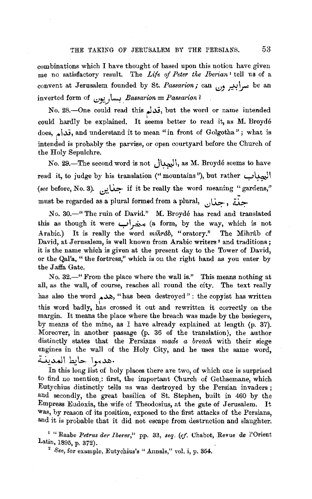combinations which I have thought of based upon this notion have given me no satisfactory result. The *Life of Peter the Iberian* I tell us of a convent at Jerusalem founded by St. *Passarion;* can مسرأبير ون inverted form of *l,;)J;',.J ~. Bassarion* = *Passarion 1* 

No. 28.-One could read this تحدثم, but the word or name intended could hardly be explained. It seems better to read it, as M. Broydé does, قدام, and understand it to mean "in front of Golgotha"; what is intended is probably the parvise, or open courtyard before the Church of the Holy Sepulchre.

No. 29.-The second word is not **Jh.JI,** as **M.** Broyde seems to have read it, to judge by his translation ("mountains"), but rather **y** *(see* before, No. **3). d,.~** if it be really the word meaning ~ gardens," must be regarded as a plural formed from a plural,  $\ldots$ ,  $\ddot{\ldots}$ 

No. 30.-" The ruin of David." M. Broyde has read and translated this as though it were **y~** (a form, by the way, which is not Arabic.) It is really the word *mihrab*, "oratory." The Mihrâb of David, at Jerusalem, is well known from Arabic writers<sup>2</sup> and traditions; it is the name which is given at the present day to the Tower of David, or the Qal'a, " the fortress," which is on the right hand as you enter by the Jaffa Gate.

No. 32.—" From the place where the wall is." This means nothing at all, as the wall, of course, reaches all round the city. The text really has also the word  $\triangle$ . "has been destroyed": the copyist has written this word badly, has crossed it out and rewritten it correctly on the margin. It means the place where the breach was made by the besiegers, by means of the mine, as I have already explained at length (p. 37). Moreover, in another passage (p. 36 of the translation), the author distinctly states that the Persians *made a breach* with their siege engines in the wall of the Holy City, and he uses the same word, .هدموا حايط المدينـة

In this long list of holy places there are two, of which one is surprised to find no mention: first, the important Church of Gethsemane, which Eutychius distinctly tells us was destroyed by the Persian invaders ; and secondly, the great basilica of St. Stephen, built in 460 by the Empress Eudoxia, the wife of Theodosius, at the gate of Jerusalem. It Was, by reason of its position, exposed to the first attacks of the Persians, and it is probable that it did not escape from destruction and slaughter.

1 "Raabe *Petrus der Iberer,"* pp. 33, *seq. (cf.* Chabot, Revue de l'Orient Latin, 1895, p. 372). .

<sup>2</sup>*See,* for example, Eutychius's "Annals," vol. i, p. 354.